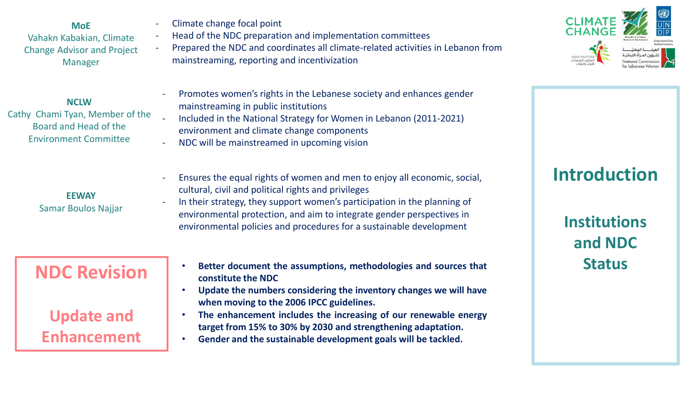**MoE** Vahakn Kabakian, Climate Change Advisor and Project Manager

#### **NCLW**

Cathy Chami Tyan, Member of the Board and Head of the Environment Committee

> **EEWAY** Samar Boulos Najjar

- Climate change focal point
- Head of the NDC preparation and implementation committees
- Prepared the NDC and coordinates all climate-related activities in Lebanon from mainstreaming, reporting and incentivization



- Promotes women's rights in the Lebanese society and enhances gender mainstreaming in public institutions
- Included in the National Strategy for Women in Lebanon (2011-2021) environment and climate change components
- NDC will be mainstreamed in upcoming vision
- Ensures the equal rights of women and men to enjoy all economic, social, cultural, civil and political rights and privileges
	- In their strategy, they support women's participation in the planning of environmental protection, and aim to integrate gender perspectives in environmental policies and procedures for a sustainable development

## **NDC Revision**

**Update and Enhancement**

- **Better document the assumptions, methodologies and sources that constitute the NDC**
- **Update the numbers considering the inventory changes we will have when moving to the 2006 IPCC guidelines.**
- **The enhancement includes the increasing of our renewable energy target from 15% to 30% by 2030 and strengthening adaptation.**
- **Gender and the sustainable development goals will be tackled.**

## **Introduction**

**Institutions and NDC Status**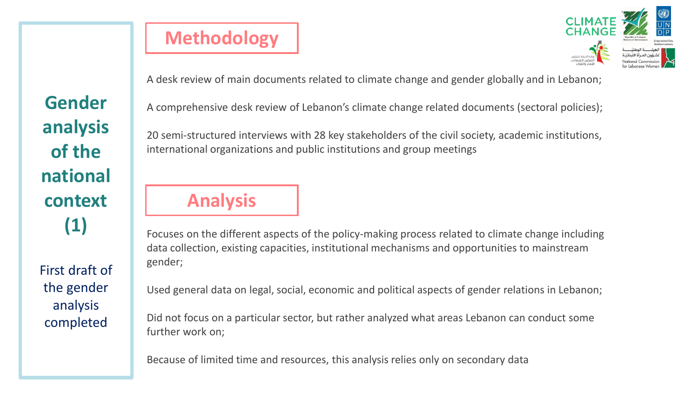First draft of the gender analysis completed

# **Methodology**



A desk review of main documents related to climate change and gender globally and in Lebanon;

A comprehensive desk review of Lebanon's climate change related documents (sectoral policies);

20 semi-structured interviews with 28 key stakeholders of the civil society, academic institutions, international organizations and public institutions and group meetings

## **Analysis**

Focuses on the different aspects of the policy-making process related to climate change including data collection, existing capacities, institutional mechanisms and opportunities to mainstream gender;

Used general data on legal, social, economic and political aspects of gender relations in Lebanon;

Did not focus on a particular sector, but rather analyzed what areas Lebanon can conduct some further work on;

Because of limited time and resources, this analysis relies only on secondary data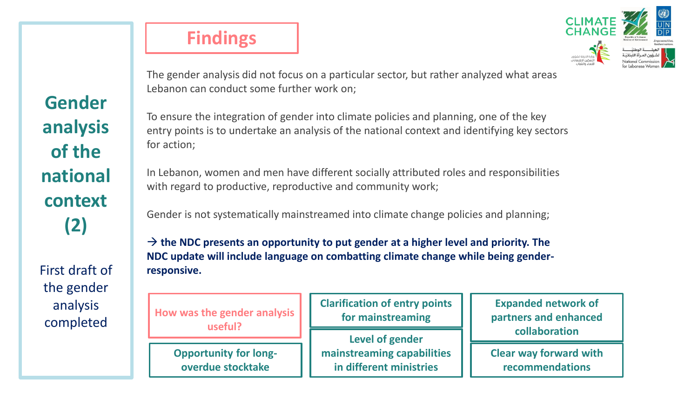First draft of the gender analysis completed

## **Findings**



The gender analysis did not focus on a particular sector, but rather analyzed what areas Lebanon can conduct some further work on;

To ensure the integration of gender into climate policies and planning, one of the key entry points is to undertake an analysis of the national context and identifying key sectors for action;

In Lebanon, women and men have different socially attributed roles and responsibilities with regard to productive, reproductive and community work;

Gender is not systematically mainstreamed into climate change policies and planning;

 $\rightarrow$  the NDC presents an opportunity to put gender at a higher level and priority. The **NDC update will include language on combatting climate change while being genderresponsive.** 

| How was the gender analysis | <b>Clarifica</b> |
|-----------------------------|------------------|
| useful?                     | for              |
|                             |                  |

**Opportunity for longoverdue stocktake**

**Clarification of entry points for mainstreaming**

**Level of gender mainstreaming capabilities in different ministries**

**Expanded network of partners and enhanced collaboration**

**Clear way forward with recommendations**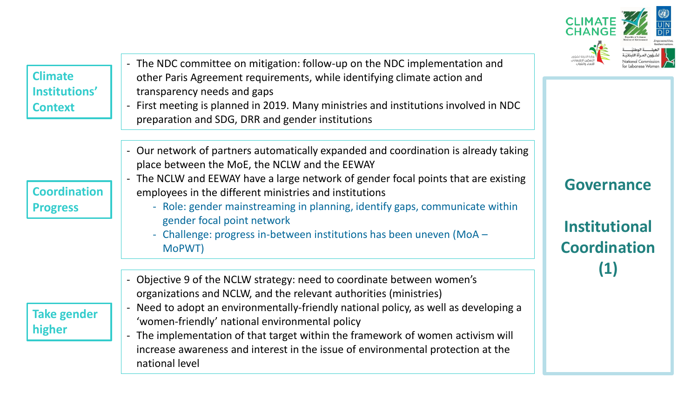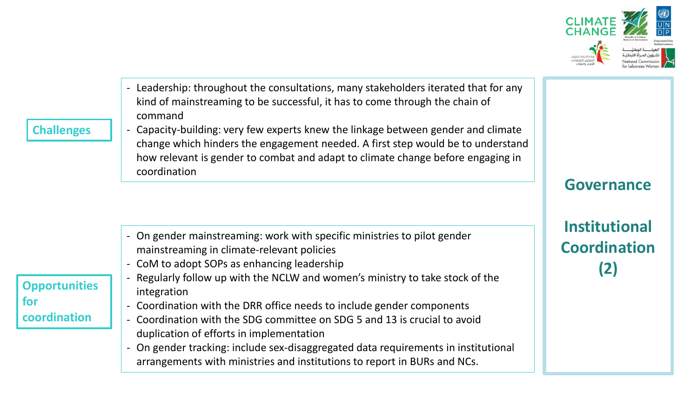

- Leadership: throughout the consultations, many stakeholders iterated that for any kind of mainstreaming to be successful, it has to come through the chain of command

### **Challenges**

- Capacity-building: very few experts knew the linkage between gender and climate change which hinders the engagement needed. A first step would be to understand how relevant is gender to combat and adapt to climate change before engaging in coordination

|                                             | - On gender mainstreaming: work with specific ministries to pilot gender<br>mainstreaming in climate-relevant policies<br>- CoM to adopt SOPs as enhancing leadership |
|---------------------------------------------|-----------------------------------------------------------------------------------------------------------------------------------------------------------------------|
| <b>Opportunities</b><br>for<br>coordination | Regularly follow up with the NCLW and women's ministry to take stock of the<br>$\overline{\phantom{0}}$<br>integration                                                |
|                                             | - Coordination with the DRR office needs to include gender components                                                                                                 |
|                                             | - Coordination with the SDG committee on SDG 5 and 13 is crucial to avoid                                                                                             |
|                                             | duplication of efforts in implementation                                                                                                                              |
|                                             | - On gender tracking: include sex-disaggregated data requirements in institutional                                                                                    |
|                                             | arrangements with ministries and institutions to report in BURs and NCs.                                                                                              |

**Governance**

**Institutional Coordination (2)**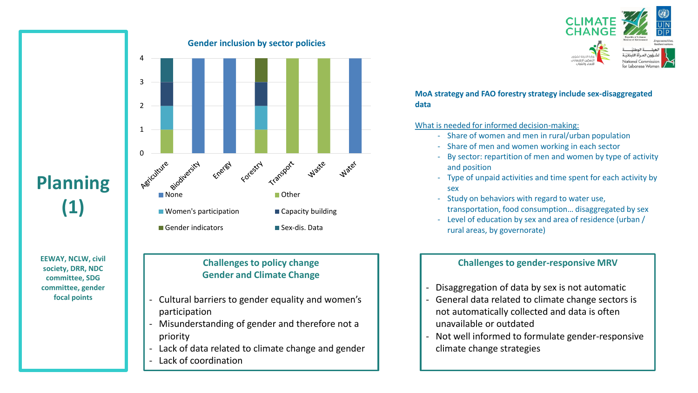

#### **MoA strategy and FAO forestry strategy include sex-disaggregated data**

#### What is needed for informed decision-making:

- Share of women and men in rural/urban population
- Share of men and women working in each sector
- By sector: repartition of men and women by type of activity and position
- Type of unpaid activities and time spent for each activity by sex
- Study on behaviors with regard to water use, transportation, food consumption… disaggregated by sex
- Level of education by sex and area of residence (urban / rural areas, by governorate)

#### **Challenges to gender-responsive MRV**

- Disaggregation of data by sex is not automatic
- General data related to climate change sectors is not automatically collected and data is often unavailable or outdated
- Not well informed to formulate gender-responsive climate change strategies

# **Planning (1)**

**EEWAY, NCLW, civil society, DRR, NDC committee, SDG committee, gender focal points**

#### **Gender inclusion by sector policies**



### **Challenges to policy change Gender and Climate Change**

- Cultural barriers to gender equality and women's participation
- Misunderstanding of gender and therefore not a priority
- Lack of data related to climate change and gender
- Lack of coordination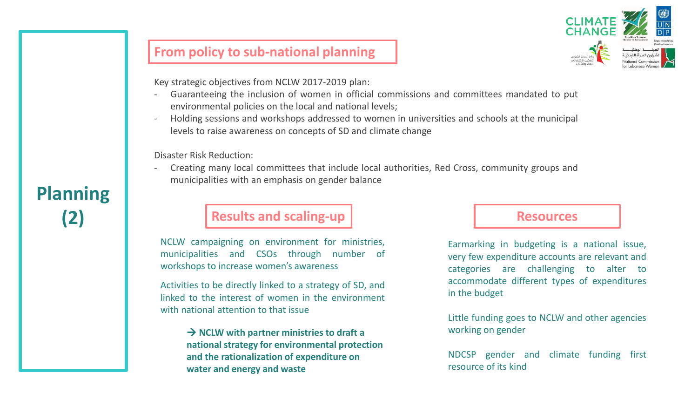

## **From policy to sub-national planning**

Key strategic objectives from NCLW 2017-2019 plan:

- Guaranteeing the inclusion of women in official commissions and committees mandated to put environmental policies on the local and national levels;
- Holding sessions and workshops addressed to women in universities and schools at the municipal levels to raise awareness on concepts of SD and climate change

Disaster Risk Reduction:

- Creating many local committees that include local authorities, Red Cross, community groups and municipalities with an emphasis on gender balance

## **(2) Results and scaling-up**

NCLW campaigning on environment for ministries, municipalities and CSOs through number of workshops to increase women's awareness

Activities to be directly linked to a strategy of SD, and linked to the interest of women in the environment with national attention to that issue

> → **NCLW with partner ministries to draft a national strategy for environmental protection and the rationalization of expenditure on water and energy and waste**

### **Resources**

Earmarking in budgeting is a national issue, very few expenditure accounts are relevant and categories are challenging to alter to accommodate different types of expenditures in the budget

Little funding goes to NCLW and other agencies working on gender

NDCSP gender and climate funding first resource of its kind

**Planning**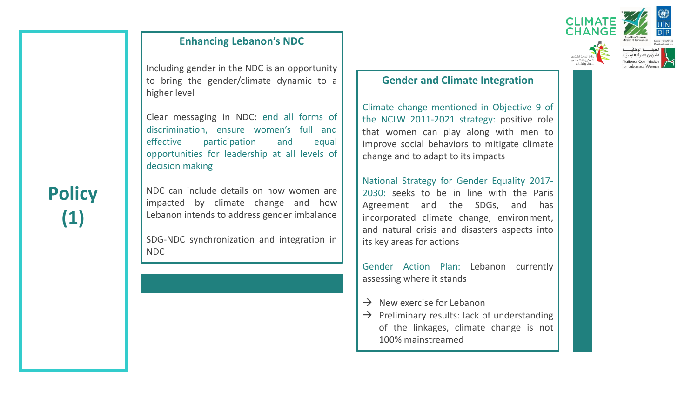## **Enhancing Lebanon's NDC**

Including gender in the NDC is an opportunity to bring the gender/climate dynamic to a higher level

Clear messaging in NDC: end all forms of discrimination, ensure women's full and effective participation and equal opportunities for leadership at all levels of decision making

NDC can include details on how women are impacted by climate change and how Lebanon intends to address gender imbalance

SDG-NDC synchronization and integration in NDC



#### **Gender and Climate Integration**

Climate change mentioned in Objective 9 of the NCLW 2011-2021 strategy: positive role that women can play along with men to improve social behaviors to mitigate climate change and to adapt to its impacts

National Strategy for Gender Equality 2017- 2030: seeks to be in line with the Paris Agreement and the SDGs, and has incorporated climate change, environment, and natural crisis and disasters aspects into its key areas for actions

Gender Action Plan: Lebanon currently assessing where it stands

- $\rightarrow$  New exercise for Lebanon
- $\rightarrow$  Preliminary results: lack of understanding of the linkages, climate change is not 100% mainstreamed

# **Policy (1)**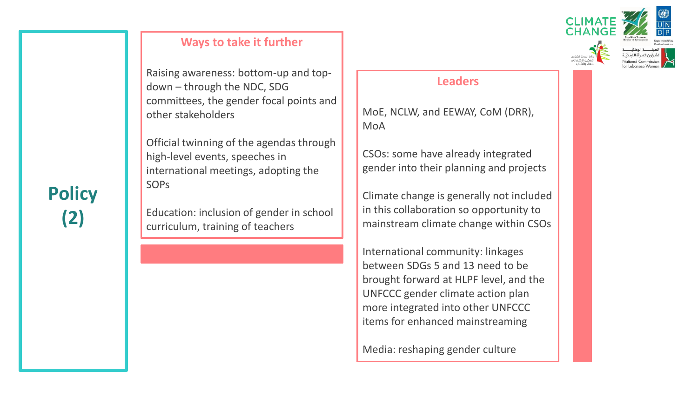

## **Ways to take it further**

Raising awareness: bottom-up and topdown – through the NDC, SDG committees, the gender focal points and other stakeholders

Official twinning of the agendas through high-level events, speeches in international meetings, adopting the SOPs

Education: inclusion of gender in school curriculum, training of teachers

## **Leaders**

MoE, NCLW, and EEWAY, CoM (DRR), MoA

CSOs: some have already integrated gender into their planning and projects

Climate change is generally not included in this collaboration so opportunity to mainstream climate change within CSOs

International community: linkages between SDGs 5 and 13 need to be brought forward at HLPF level, and the UNFCCC gender climate action plan more integrated into other UNFCCC items for enhanced mainstreaming

Media: reshaping gender culture

# **Policy (2)**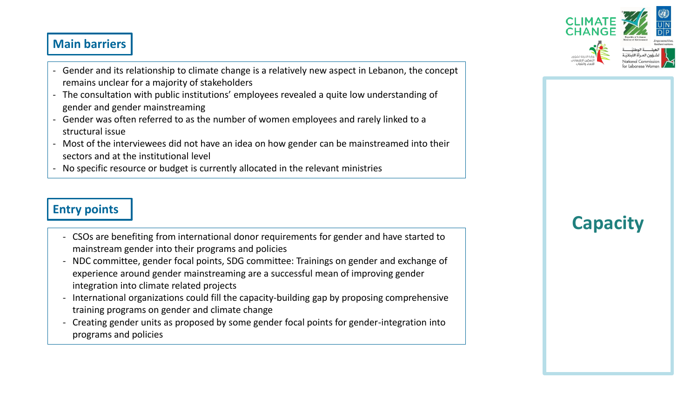## **Main barriers**

- Gender and its relationship to climate change is a relatively new aspect in Lebanon, the concept remains unclear for a majority of stakeholders
- The consultation with public institutions' employees revealed a quite low understanding of gender and gender mainstreaming
- Gender was often referred to as the number of women employees and rarely linked to a structural issue
- Most of the interviewees did not have an idea on how gender can be mainstreamed into their sectors and at the institutional level
- No specific resource or budget is currently allocated in the relevant ministries

## **Entry points**

- CSOs are benefiting from international donor requirements for gender and have started to mainstream gender into their programs and policies
- NDC committee, gender focal points, SDG committee: Trainings on gender and exchange of experience around gender mainstreaming are a successful mean of improving gender integration into climate related projects
- International organizations could fill the capacity-building gap by proposing comprehensive training programs on gender and climate change
- Creating gender units as proposed by some gender focal points for gender-integration into programs and policies

# **Capacity**